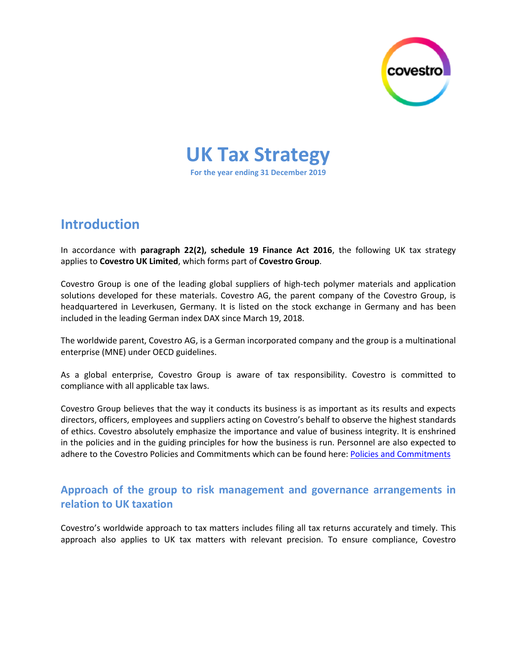

**UK Tax Strategy For the year ending 31 December 2019**

# **Introduction**

In accordance with **paragraph 22(2), schedule 19 Finance Act 2016**, the following UK tax strategy applies to **Covestro UK Limited**, which forms part of **Covestro Group**.

Covestro Group is one of the leading global suppliers of high-tech polymer materials and application solutions developed for these materials. Covestro AG, the parent company of the Covestro Group, is headquartered in Leverkusen, Germany. It is listed on the stock exchange in Germany and has been included in the leading German index DAX since March 19, 2018.

The worldwide parent, Covestro AG, is a German incorporated company and the group is a multinational enterprise (MNE) under OECD guidelines.

As a global enterprise, Covestro Group is aware of tax responsibility. Covestro is committed to compliance with all applicable tax laws.

Covestro Group believes that the way it conducts its business is as important as its results and expects directors, officers, employees and suppliers acting on Covestro's behalf to observe the highest standards of ethics. Covestro absolutely emphasize the importance and value of business integrity. It is enshrined in the policies and in the guiding principles for how the business is run. Personnel are also expected to adhere to the Covestro Policies and Commitments which can be found here: [Policies and Commitments](https://www.covestro.com/en/sustainability/service-downloads/policies-commitments)

### **Approach of the group to risk management and governance arrangements in relation to UK taxation**

Covestro's worldwide approach to tax matters includes filing all tax returns accurately and timely. This approach also applies to UK tax matters with relevant precision. To ensure compliance, Covestro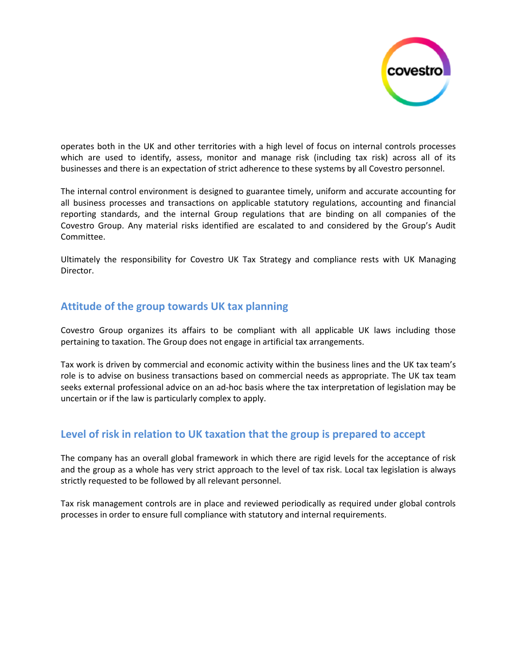

operates both in the UK and other territories with a high level of focus on internal controls processes which are used to identify, assess, monitor and manage risk (including tax risk) across all of its businesses and there is an expectation of strict adherence to these systems by all Covestro personnel.

The internal control environment is designed to guarantee timely, uniform and accurate accounting for all business processes and transactions on applicable statutory regulations, accounting and financial reporting standards, and the internal Group regulations that are binding on all companies of the Covestro Group. Any material risks identified are escalated to and considered by the Group's Audit Committee.

Ultimately the responsibility for Covestro UK Tax Strategy and compliance rests with UK Managing Director.

#### **Attitude of the group towards UK tax planning**

Covestro Group organizes its affairs to be compliant with all applicable UK laws including those pertaining to taxation. The Group does not engage in artificial tax arrangements.

Tax work is driven by commercial and economic activity within the business lines and the UK tax team's role is to advise on business transactions based on commercial needs as appropriate. The UK tax team seeks external professional advice on an ad-hoc basis where the tax interpretation of legislation may be uncertain or if the law is particularly complex to apply.

#### **Level of risk in relation to UK taxation that the group is prepared to accept**

The company has an overall global framework in which there are rigid levels for the acceptance of risk and the group as a whole has very strict approach to the level of tax risk. Local tax legislation is always strictly requested to be followed by all relevant personnel.

Tax risk management controls are in place and reviewed periodically as required under global controls processes in order to ensure full compliance with statutory and internal requirements.